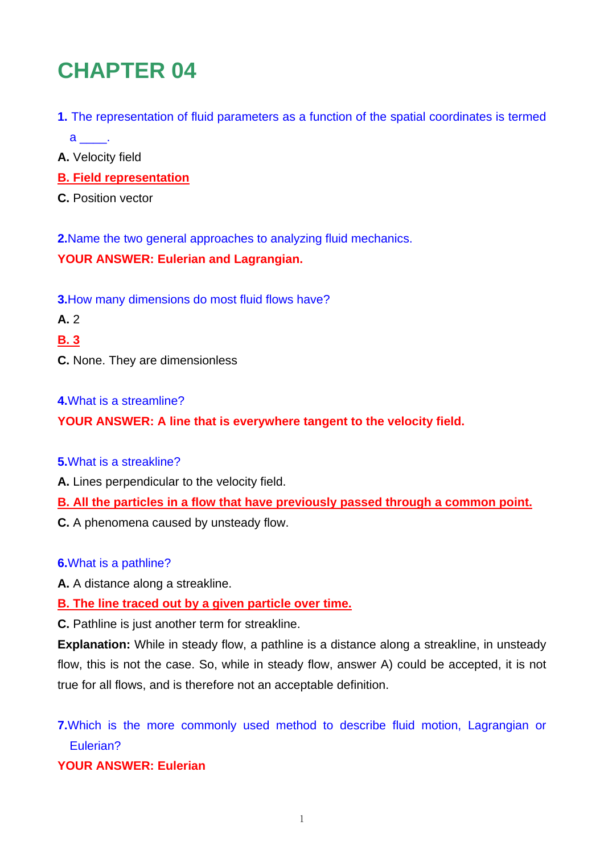# **CHAPTER 04**

- **1.** The representation of fluid parameters as a function of the spatial coordinates is termed a \_\_\_\_\_.
- **A.** Velocity field
- **B. Field representation**
- **C.** Position vector

**2.**Name the two general approaches to analyzing fluid mechanics.

### **YOUR ANSWER: Eulerian and Lagrangian.**

**3.**How many dimensions do most fluid flows have?

- **A.** 2
- **B. 3**
- **C.** None. They are dimensionless

#### **4.**What is a streamline?

**YOUR ANSWER: A line that is everywhere tangent to the velocity field.** 

#### **5.**What is a streakline?

- **A.** Lines perpendicular to the velocity field.
- **B. All the particles in a flow that have previously passed through a common point.**
- **C.** A phenomena caused by unsteady flow.

# **6.**What is a pathline?

**A.** A distance along a streakline.

# **B. The line traced out by a given particle over time.**

**C.** Pathline is just another term for streakline.

**Explanation:** While in steady flow, a pathline is a distance along a streakline, in unsteady flow, this is not the case. So, while in steady flow, answer A) could be accepted, it is not true for all flows, and is therefore not an acceptable definition.

**7.**Which is the more commonly used method to describe fluid motion, Lagrangian or Eulerian?

# **YOUR ANSWER: Eulerian**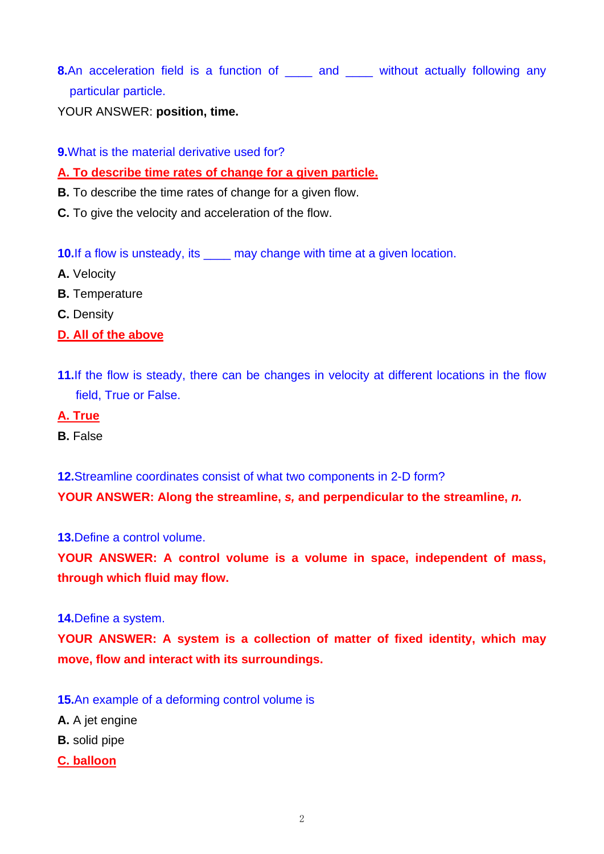**8.**An acceleration field is a function of <u>each and several</u> without actually following any particular particle.

YOUR ANSWER: **position, time.** 

**9.**What is the material derivative used for?

## **A. To describe time rates of change for a given particle.**

- **B.** To describe the time rates of change for a given flow.
- **C.** To give the velocity and acceleration of the flow.

**10.** If a flow is unsteady, its \_\_\_\_\_ may change with time at a given location.

- **A.** Velocity
- **B.** Temperature
- **C.** Density
- **D. All of the above**
- **11.**If the flow is steady, there can be changes in velocity at different locations in the flow field, True or False.
- **A. True**
- **B.** False

**12.**Streamline coordinates consist of what two components in 2-D form? **YOUR ANSWER: Along the streamline,** *s,* **and perpendicular to the streamline,** *n.*

**13.**Define a control volume.

**YOUR ANSWER: A control volume is a volume in space, independent of mass, through which fluid may flow.** 

#### **14.**Define a system.

**YOUR ANSWER: A system is a collection of matter of fixed identity, which may move, flow and interact with its surroundings.** 

- **15.**An example of a deforming control volume is
- **A.** A jet engine
- **B.** solid pipe
- **C. balloon**